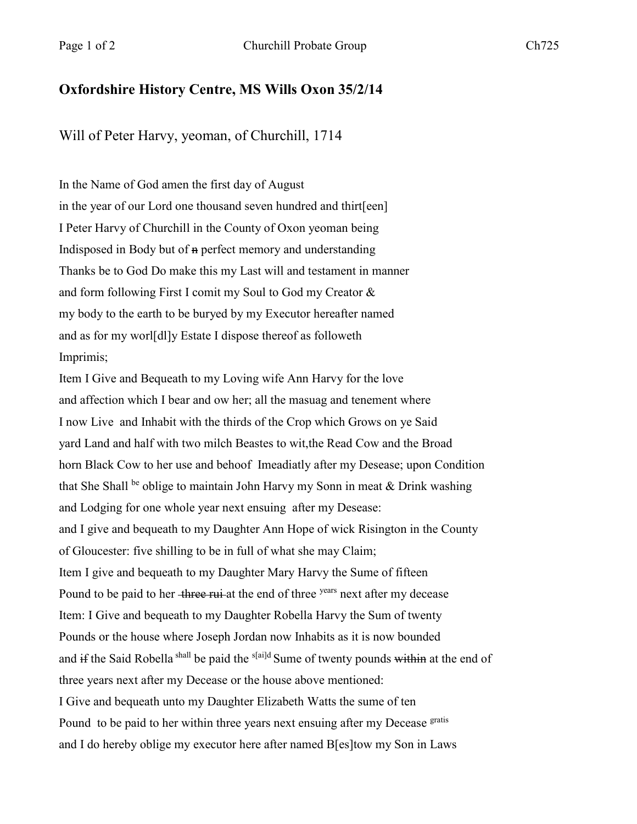## **Oxfordshire History Centre, MS Wills Oxon 35/2/14**

Will of Peter Harvy, yeoman, of Churchill, 1714

In the Name of God amen the first day of August in the year of our Lord one thousand seven hundred and thirt[een] I Peter Harvy of Churchill in the County of Oxon yeoman being Indisposed in Body but of n perfect memory and understanding Thanks be to God Do make this my Last will and testament in manner and form following First I comit my Soul to God my Creator & my body to the earth to be buryed by my Executor hereafter named and as for my worl[dl]y Estate I dispose thereof as followeth Imprimis;

Item I Give and Bequeath to my Loving wife Ann Harvy for the love and affection which I bear and ow her; all the masuag and tenement where I now Live and Inhabit with the thirds of the Crop which Grows on ye Said yard Land and half with two milch Beastes to wit,the Read Cow and the Broad horn Black Cow to her use and behoof Imeadiatly after my Desease; upon Condition that She Shall be oblige to maintain John Harvy my Sonn in meat & Drink washing and Lodging for one whole year next ensuing after my Desease: and I give and bequeath to my Daughter Ann Hope of wick Risington in the County of Gloucester: five shilling to be in full of what she may Claim; Item I give and bequeath to my Daughter Mary Harvy the Sume of fifteen Pound to be paid to her three rui at the end of three years next after my decease Item: I Give and bequeath to my Daughter Robella Harvy the Sum of twenty Pounds or the house where Joseph Jordan now Inhabits as it is now bounded and if the Said Robella shall be paid the s<sup>[ai]d</sup> Sume of twenty pounds within at the end of three years next after my Decease or the house above mentioned: I Give and bequeath unto my Daughter Elizabeth Watts the sume of ten Pound to be paid to her within three years next ensuing after my Decease gratis and I do hereby oblige my executor here after named B[es]tow my Son in Laws